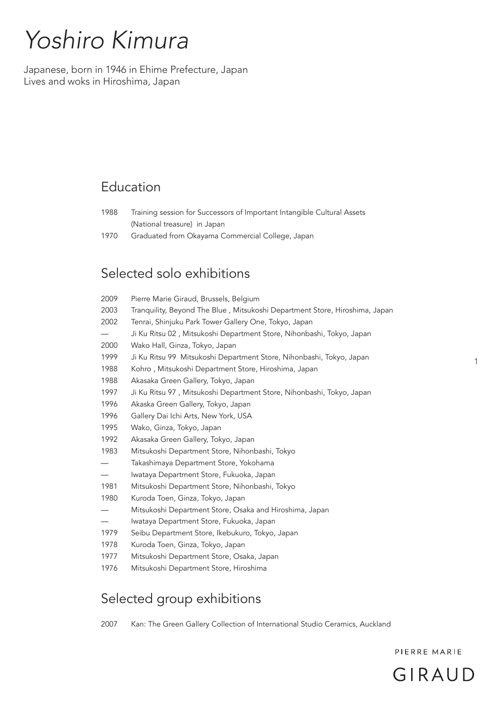# *Yoshiro Kimura*

Japanese, born in 1946 in Ehime Prefecture, Japan Lives and woks in Hiroshima, Japan

## Education

- 1988 Training session for Successors of Important Intangible Cultural Assets (National treasure) in Japan
- 1970 Graduated from Okayama Commercial College, Japan

### Selected solo exhibitions

| 2009                          | Pierre Marie Giraud, Brussels, Belgium                                      |
|-------------------------------|-----------------------------------------------------------------------------|
| 2003                          | Tranquility, Beyond The Blue, Mitsukoshi Department Store, Hiroshima, Japan |
| 2002                          | Tenrai, Shinjuku Park Tower Gallery One, Tokyo, Japan                       |
|                               | Ji Ku Ritsu 02, Mitsukoshi Department Store, Nihonbashi, Tokyo, Japan       |
| 2000                          | Wako Hall, Ginza, Tokyo, Japan                                              |
| 1999                          | Ji Ku Ritsu 99 Mitsukoshi Department Store, Nihonbashi, Tokyo, Japan        |
| 1988                          | Kohro, Mitsukoshi Department Store, Hiroshima, Japan                        |
| 1988                          | Akasaka Green Gallery, Tokyo, Japan                                         |
| 1997                          | Ji Ku Ritsu 97, Mitsukoshi Department Store, Nihonbashi, Tokyo, Japan       |
| 1996                          | Akaska Green Gallery, Tokyo, Japan                                          |
| 1996                          | Gallery Dai Ichi Arts, New York, USA                                        |
| 1995                          | Wako, Ginza, Tokyo, Japan                                                   |
| 1992                          | Akasaka Green Gallery, Tokyo, Japan                                         |
| 1983                          | Mitsukoshi Department Store, Nihonbashi, Tokyo                              |
| $\overbrace{\phantom{13333}}$ | Takashimaya Department Store, Yokohama                                      |
|                               | Iwataya Department Store, Fukuoka, Japan                                    |
| 1981                          | Mitsukoshi Department Store, Nihonbashi, Tokyo                              |
| 1980                          | Kuroda Toen, Ginza, Tokyo, Japan                                            |
|                               | Mitsukoshi Department Store, Osaka and Hiroshima, Japan                     |
|                               | Iwataya Department Store, Fukuoka, Japan                                    |
| 1979                          | Seibu Department Store, Ikebukuro, Tokyo, Japan                             |
| 1978                          | Kuroda Toen, Ginza, Tokyo, Japan                                            |
| 1977                          | Mitsukoshi Department Store, Osaka, Japan                                   |
| 1976                          | Mitsukoshi Department Store, Hiroshima                                      |

## Selected group exhibitions

2007 Kan: The Green Gallery Collection of International Studio Ceramics, Auckland

PIERRE MARIE

1

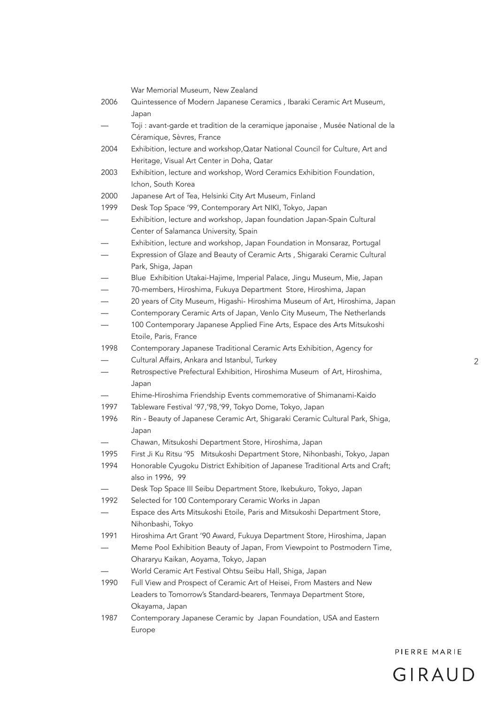|      | War Memorial Museum, New Zealand                                                |
|------|---------------------------------------------------------------------------------|
| 2006 | Quintessence of Modern Japanese Ceramics, Ibaraki Ceramic Art Museum,           |
|      | Japan                                                                           |
|      | Toji : avant-garde et tradition de la ceramique japonaise, Musée National de la |
|      | Céramique, Sèvres, France                                                       |
| 2004 | Exhibition, lecture and workshop, Qatar National Council for Culture, Art and   |
|      | Heritage, Visual Art Center in Doha, Qatar                                      |
| 2003 | Exhibition, lecture and workshop, Word Ceramics Exhibition Foundation,          |
|      | Ichon, South Korea                                                              |
| 2000 | Japanese Art of Tea, Helsinki City Art Museum, Finland                          |
| 1999 | Desk Top Space '99, Contemporary Art NIKI, Tokyo, Japan                         |
|      | Exhibition, lecture and workshop, Japan foundation Japan-Spain Cultural         |
|      | Center of Salamanca University, Spain                                           |
|      | Exhibition, lecture and workshop, Japan Foundation in Monsaraz, Portugal        |
|      | Expression of Glaze and Beauty of Ceramic Arts, Shigaraki Ceramic Cultural      |
|      | Park, Shiga, Japan                                                              |
|      | Blue Exhibition Utakai-Hajime, Imperial Palace, Jingu Museum, Mie, Japan        |
|      | 70-members, Hiroshima, Fukuya Department Store, Hiroshima, Japan                |
|      | 20 years of City Museum, Higashi- Hiroshima Museum of Art, Hiroshima, Japan     |
|      | Contemporary Ceramic Arts of Japan, Venlo City Museum, The Netherlands          |
|      | 100 Contemporary Japanese Applied Fine Arts, Espace des Arts Mitsukoshi         |
|      | Etoile, Paris, France                                                           |
| 1998 | Contemporary Japanese Traditional Ceramic Arts Exhibition, Agency for           |
|      | Cultural Affairs, Ankara and Istanbul, Turkey                                   |
|      | Retrospective Prefectural Exhibition, Hiroshima Museum of Art, Hiroshima,       |
|      | Japan                                                                           |
|      | Ehime-Hiroshima Friendship Events commemorative of Shimanami-Kaido              |
| 1997 | Tableware Festival '97,'98,'99, Tokyo Dome, Tokyo, Japan                        |
| 1996 | Rin - Beauty of Japanese Ceramic Art, Shigaraki Ceramic Cultural Park, Shiga,   |
|      | Japan                                                                           |
|      | Chawan, Mitsukoshi Department Store, Hiroshima, Japan                           |
| 1995 | First Ji Ku Ritsu '95 Mitsukoshi Department Store, Nihonbashi, Tokyo, Japan     |
| 1994 | Honorable Cyugoku District Exhibition of Japanese Traditional Arts and Craft;   |
|      | also in 1996, 99                                                                |
|      | Desk Top Space III Seibu Department Store, Ikebukuro, Tokyo, Japan              |
| 1992 | Selected for 100 Contemporary Ceramic Works in Japan                            |
|      | Espace des Arts Mitsukoshi Etoile, Paris and Mitsukoshi Department Store,       |
|      | Nihonbashi, Tokyo                                                               |
| 1991 | Hiroshima Art Grant '90 Award, Fukuya Department Store, Hiroshima, Japan        |
|      | Meme Pool Exhibition Beauty of Japan, From Viewpoint to Postmodern Time,        |
|      | Ohararyu Kaikan, Aoyama, Tokyo, Japan                                           |
|      | World Ceramic Art Festival Ohtsu Seibu Hall, Shiga, Japan                       |
| 1990 | Full View and Prospect of Ceramic Art of Heisei, From Masters and New           |
|      | Leaders to Tomorrow's Standard-bearers, Tenmaya Department Store,               |
|      | Okayama, Japan                                                                  |
| 1987 | Contemporary Japanese Ceramic by Japan Foundation, USA and Eastern              |
|      | Europe                                                                          |

 $\overline{c}$ 

PIERRE MARIE

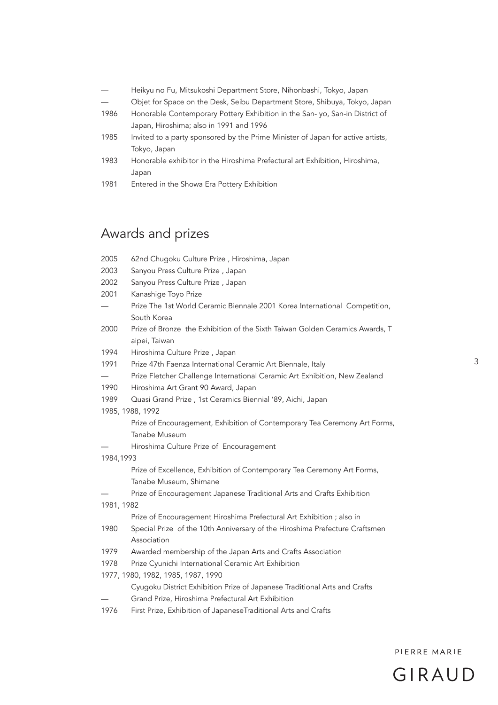- Heikyu no Fu, Mitsukoshi Department Store, Nihonbashi, Tokyo, Japan
- Objet for Space on the Desk, Seibu Department Store, Shibuya, Tokyo, Japan
- 1986 Honorable Contemporary Pottery Exhibition in the San- yo, San-in District of Japan, Hiroshima; also in 1991 and 1996
- 1985 Invited to a party sponsored by the Prime Minister of Japan for active artists, Tokyo, Japan
- 1983 Honorable exhibitor in the Hiroshima Prefectural art Exhibition, Hiroshima, Japan
- 1981 Entered in the Showa Era Pottery Exhibition

#### Awards and prizes

| 2005                               | 62nd Chugoku Culture Prize, Hiroshima, Japan                                 |  |
|------------------------------------|------------------------------------------------------------------------------|--|
| 2003                               | Sanyou Press Culture Prize, Japan                                            |  |
| 2002                               | Sanyou Press Culture Prize, Japan                                            |  |
| 2001                               | Kanashige Toyo Prize                                                         |  |
|                                    | Prize The 1st World Ceramic Biennale 2001 Korea International Competition,   |  |
|                                    | South Korea                                                                  |  |
| 2000                               | Prize of Bronze the Exhibition of the Sixth Taiwan Golden Ceramics Awards, T |  |
|                                    | aipei, Taiwan                                                                |  |
| 1994                               | Hiroshima Culture Prize, Japan                                               |  |
| 1991                               | Prize 47th Faenza International Ceramic Art Biennale, Italy                  |  |
|                                    | Prize Fletcher Challenge International Ceramic Art Exhibition, New Zealand   |  |
| 1990                               | Hiroshima Art Grant 90 Award, Japan                                          |  |
| 1989                               | Quasi Grand Prize, 1st Ceramics Biennial '89, Aichi, Japan                   |  |
|                                    | 1985, 1988, 1992                                                             |  |
|                                    | Prize of Encouragement, Exhibition of Contemporary Tea Ceremony Art Forms,   |  |
|                                    | Tanabe Museum                                                                |  |
|                                    | Hiroshima Culture Prize of Encouragement                                     |  |
| 1984,1993                          |                                                                              |  |
|                                    | Prize of Excellence, Exhibition of Contemporary Tea Ceremony Art Forms,      |  |
|                                    | Tanabe Museum, Shimane                                                       |  |
|                                    | Prize of Encouragement Japanese Traditional Arts and Crafts Exhibition       |  |
| 1981, 1982                         |                                                                              |  |
|                                    | Prize of Encouragement Hiroshima Prefectural Art Exhibition ; also in        |  |
| 1980                               | Special Prize of the 10th Anniversary of the Hiroshima Prefecture Craftsmen  |  |
|                                    | Association                                                                  |  |
| 1979                               | Awarded membership of the Japan Arts and Crafts Association                  |  |
| 1978                               | Prize Cyunichi International Ceramic Art Exhibition                          |  |
| 1977, 1980, 1982, 1985, 1987, 1990 |                                                                              |  |
|                                    | Cyugoku District Exhibition Prize of Japanese Traditional Arts and Crafts    |  |
|                                    | Grand Prize, Hiroshima Prefectural Art Exhibition                            |  |
| 1976                               | First Prize, Exhibition of JapaneseTraditional Arts and Crafts               |  |

GIRAUD